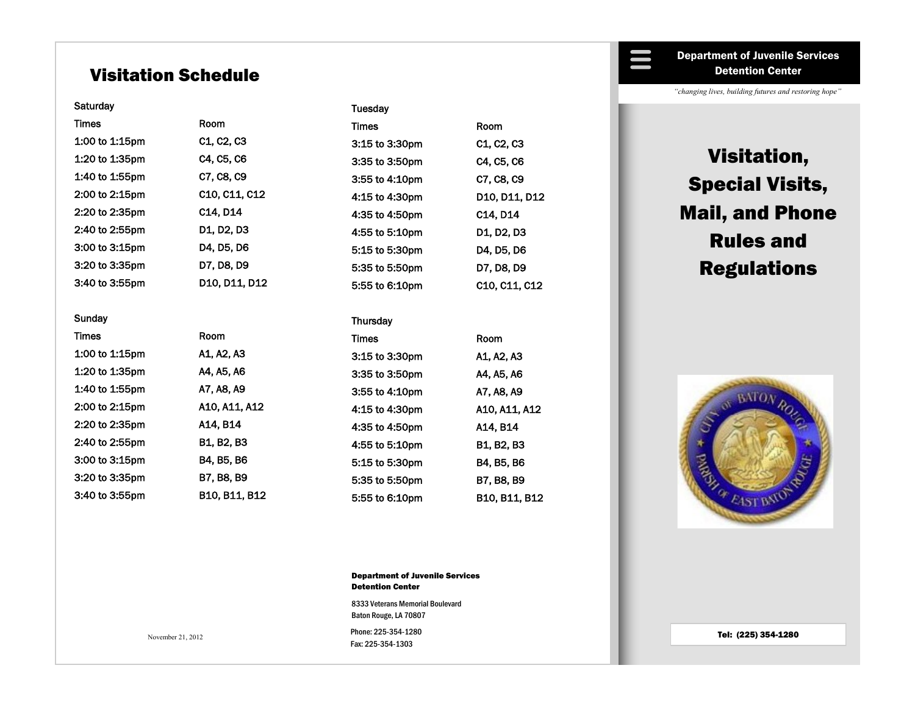# Visitation Schedule

#### **Saturday**

Times Room 1:00 to 1:15pm C1, C2, C3 1:20 to 1:35pm C4, C5, C6 1:40 to 1:55pm C7, C8, C9 2:00 to 2:15pm C10, C11, C12 2:20 to 2:35pm C14, D14 2:40 to 2:55pm D1, D2, D3 3:00 to 3:15pm D4, D5, D6 3:20 to 3:35pm D7, D8, D9 3:40 to 3:55pm D10, D11, D12

#### Sunday

Times Room 1:00 to 1:15pm A1, A2, A3 1:20 to 1:35pm A4, A5, A6 1:40 to 1:55pm A7, A8, A9 2:00 to 2:15pm A10, A11, A12 2:20 to 2:35pm A14, B14 2:40 to 2:55pm B1, B2, B3 3:00 to 3:15pm B4, B5, B6 3:20 to 3:35pm B7, B8, B9 3:40 to 3:55pm B10, B11, B12

#### **Tuesday**

Times Room 3:15 to 3:30pm C1, C2, C3 3:35 to 3:50pm C4, C5, C6 3:55 to 4:10pm C7, C8, C9 4:15 to 4:30pm D10, D11, D12 4:35 to 4:50pm C14, D14 4:55 to 5:10pm D1, D2, D3 5:15 to 5:30pm D4, D5, D6 5:35 to 5:50pm D7, D8, D9 5:55 to 6:10pm C10, C11, C12

#### **Thursday**

| <b>Times</b>   | Room          |
|----------------|---------------|
| 3:15 to 3:30pm | A1. A2. A3    |
| 3:35 to 3:50pm | A4. A5. A6    |
| 3:55 to 4:10pm | A7, A8, A9    |
| 4:15 to 4:30pm | A10. A11. A12 |
| 4:35 to 4:50pm | A14. B14      |
| 4:55 to 5:10pm | B1, B2, B3    |
| 5:15 to 5:30pm | B4. B5. B6    |
| 5:35 to 5:50pm | B7. B8. B9    |
| 5:55 to 6:10pm | B10. B11. B12 |

Department of Juvenile Services Detention Center

Phone: 225-354-1280 8333 Veterans Memorial Boulevard Baton Rouge, LA 70807

Fax: 225-354-1303

November 21, 2012

Department of Juvenile Services Detention Center

*"changing lives, building futures and restoring hope"*

# Visitation, Special Visits, Mail, and Phone Rules and Regulations



Tel: (225) 354-1280